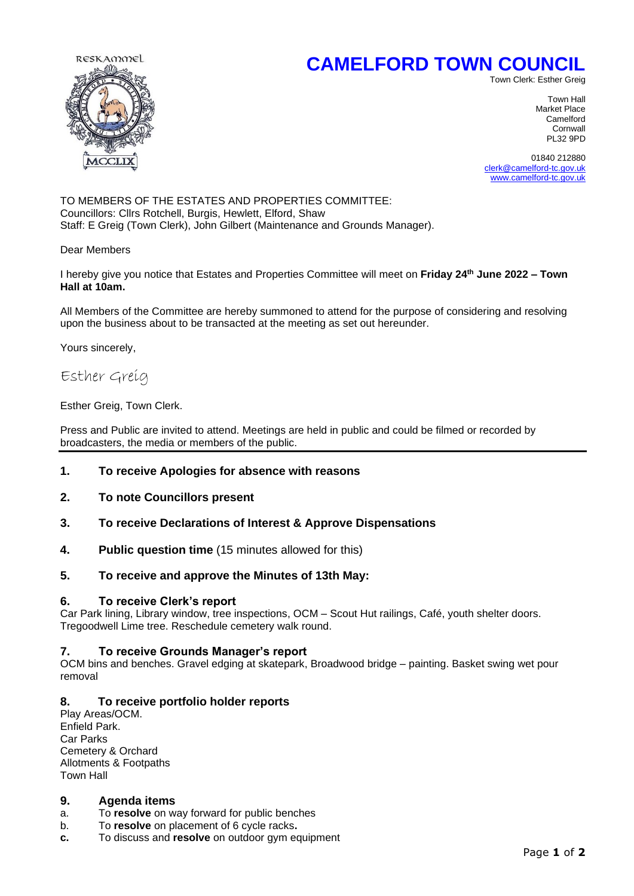



Town Clerk: Esther Greig

Town Hall Market Place<br>Camelford camelford the control of the control of the control of the control of the control of the control of the control of the control of the control of the control of the control of the control of the control of the control of th Cornwall PL32 9PD

> 01840 212880 [clerk@camelford-tc.gov.uk](mailto:clerk@camelford-tc.gov.uk) [www.camelford-tc.gov.uk](http://www.camelfordtown.net/)

TO MEMBERS OF THE ESTATES AND PROPERTIES COMMITTEE: Councillors: Cllrs Rotchell, Burgis, Hewlett, Elford, Shaw Staff: E Greig (Town Clerk), John Gilbert (Maintenance and Grounds Manager).

Dear Members

I hereby give you notice that Estates and Properties Committee will meet on **Friday 24th June 2022 – Town Hall at 10am.**

All Members of the Committee are hereby summoned to attend for the purpose of considering and resolving upon the business about to be transacted at the meeting as set out hereunder.

Yours sincerely,

# Esther Greig

### Esther Greig, Town Clerk.

Press and Public are invited to attend. Meetings are held in public and could be filmed or recorded by broadcasters, the media or members of the public.

# **1. To receive Apologies for absence with reasons**

- **2. To note Councillors present**
- **3. To receive Declarations of Interest & Approve Dispensations**
- **4. Public question time** (15 minutes allowed for this)

#### **5. To receive and approve the Minutes of 13th May:**

#### **6. To receive Clerk's report**

Car Park lining, Library window, tree inspections, OCM – Scout Hut railings, Café, youth shelter doors. Tregoodwell Lime tree. Reschedule cemetery walk round.

#### **7. To receive Grounds Manager's report**

OCM bins and benches. Gravel edging at skatepark, Broadwood bridge – painting. Basket swing wet pour removal

## **8. To receive portfolio holder reports**

Play Areas/OCM. Enfield Park. Car Parks Cemetery & Orchard Allotments & Footpaths Town Hall

### **9. Agenda items**

- a. To **resolve** on way forward for public benches
- b. To **resolve** on placement of 6 cycle racks**.**
- **c.** To discuss and **resolve** on outdoor gym equipment